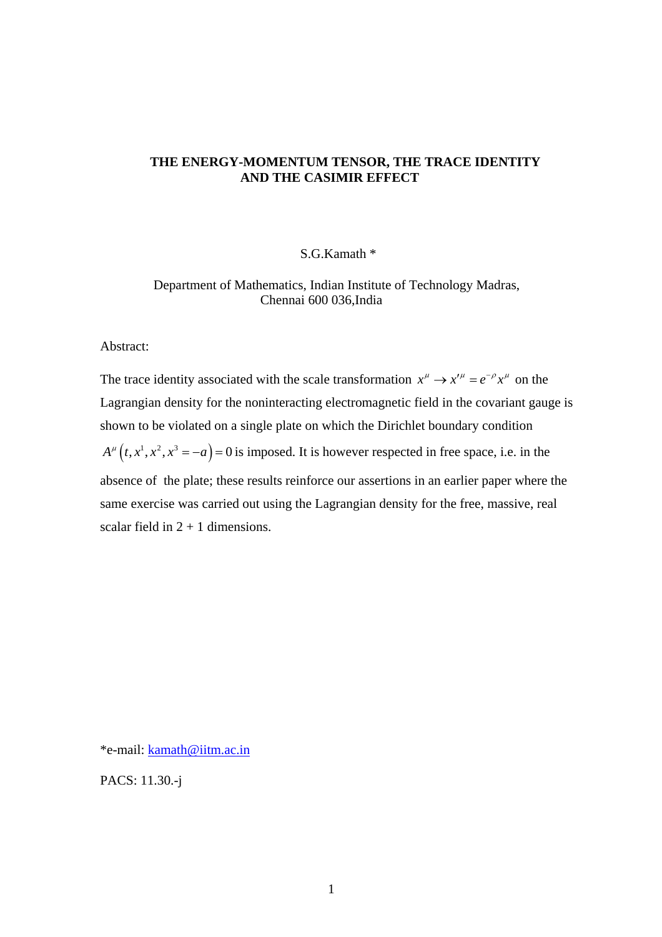## **THE ENERGY-MOMENTUM TENSOR, THE TRACE IDENTITY AND THE CASIMIR EFFECT**

# S.G.Kamath \*

 Department of Mathematics, Indian Institute of Technology Madras, Chennai 600 036,India

Abstract:

The trace identity associated with the scale transformation  $x^{\mu} \rightarrow x'^{\mu} = e^{-\rho} x^{\mu}$  on the  $A^{\mu}(t, x^{1}, x^{2}, x^{3} = -a) = 0$  is imposed. It is however respected in free space, i.e. in the Lagrangian density for the noninteracting electromagnetic field in the covariant gauge is shown to be violated on a single plate on which the Dirichlet boundary condition absence of the plate; these results reinforce our assertions in an earlier paper where the same exercise was carried out using the Lagrangian density for the free, massive, real scalar field in  $2 + 1$  dimensions.

\*e-mail: [kamath@iitm.ac.in](mailto:kamath@iitm.ac.in)

PACS: 11.30.-j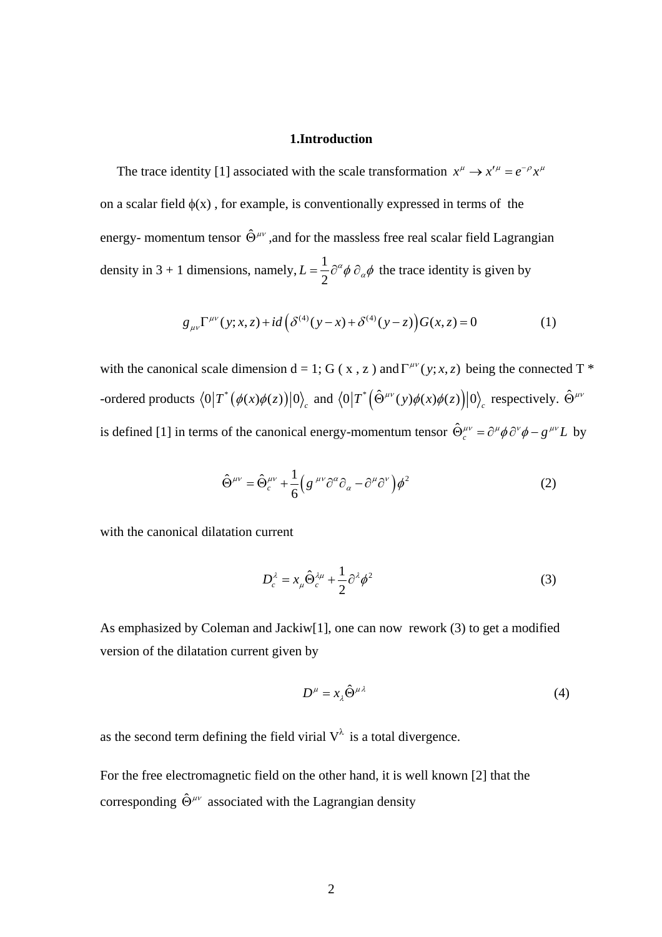#### **1.Introduction**

The trace identity [1] associated with the scale transformation  $x^{\mu} \rightarrow x'^{\mu} = e^{-\rho} x^{\mu}$ on a scalar field  $\phi(x)$ , for example, is conventionally expressed in terms of the energy- momentum tensor  $\hat{\Theta}^{\mu\nu}$  ,and for the massless free real scalar field Lagrangian density in 3 + 1 dimensions, namely,  $L = \frac{1}{2}$ 2  $L = \frac{1}{2} \partial^{\alpha} \phi \partial_{\alpha} \phi$  the trace identity is given by

$$
g_{\mu\nu}\Gamma^{\mu\nu}(y;x,z) + id\left(\delta^{(4)}(y-x) + \delta^{(4)}(y-z)\right)G(x,z) = 0
$$
 (1)

with the canonical scale dimension  $d = 1$ ; G (x, z) and  $\Gamma^{\mu\nu}(y; x, z)$  being the connected T  $*$ -ordered products  $\langle 0|T^*(\phi(x)\phi(z))|0\rangle_c$  and  $\langle 0|T^*(\hat{\Theta}^{\mu\nu}(y)\phi(x)\phi(z))|0\rangle_c$  respectively.  $\hat{\Theta}^{\mu\nu}$ is defined [1] in terms of the canonical energy-momentum tensor  $\hat{\Theta}^{\mu\nu}_c = \partial^\mu \phi \, \partial^\nu \phi - g^{\mu\nu} L$  by

$$
\hat{\Theta}^{\mu\nu} = \hat{\Theta}^{\mu\nu}_c + \frac{1}{6} \Big( g^{\mu\nu} \partial^\alpha \partial_\alpha - \partial^\mu \partial^\nu \Big) \phi^2 \tag{2}
$$

with the canonical dilatation current

$$
D_c^{\lambda} = x_{\mu} \hat{\Theta}_c^{\lambda \mu} + \frac{1}{2} \partial^{\lambda} \phi^2
$$
 (3)

As emphasized by Coleman and Jackiw[1], one can now rework (3) to get a modified version of the dilatation current given by

$$
D^{\mu} = x_{\lambda} \hat{\Theta}^{\mu \lambda} \tag{4}
$$

as the second term defining the field virial  $V^{\lambda}$  is a total divergence.

For the free electromagnetic field on the other hand, it is well known [2] that the corresponding  $\hat{\Theta}^{\mu\nu}$  associated with the Lagrangian density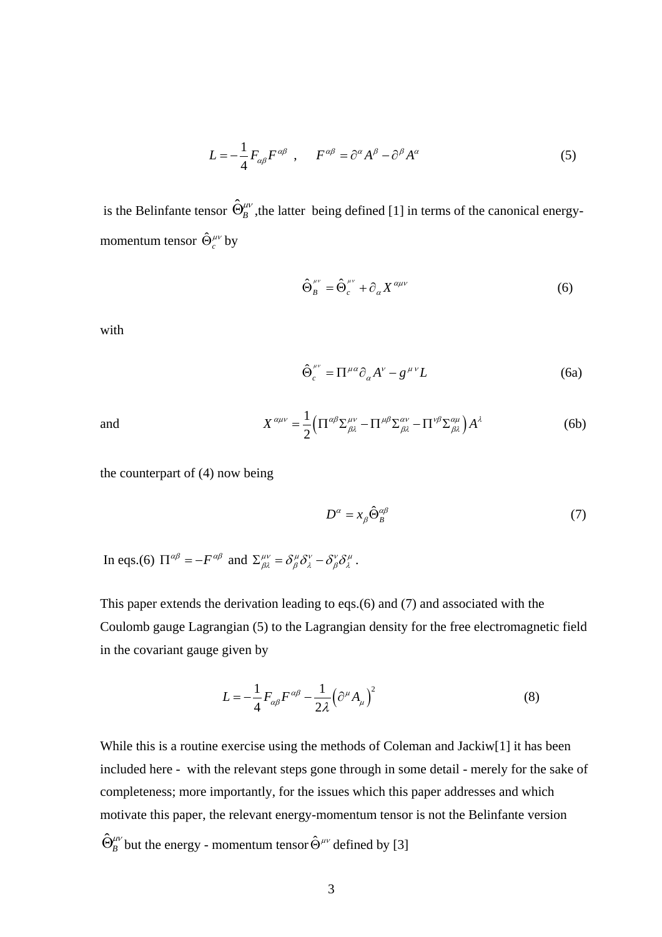$$
L = -\frac{1}{4} F_{\alpha\beta} F^{\alpha\beta} , \qquad F^{\alpha\beta} = \partial^{\alpha} A^{\beta} - \partial^{\beta} A^{\alpha}
$$
 (5)

is the Belinfante tensor  $\hat{\Theta}_{B}^{\mu\nu}$ , the latter being defined [1] in terms of the canonical energymomentum tensor  $\hat{\Theta}^{\mu\nu}_c$  by

$$
\hat{\Theta}_{B}^{\mu\nu} = \hat{\Theta}_{c}^{\mu\nu} + \partial_{\alpha} X^{\alpha\mu\nu} \tag{6}
$$

with

$$
\hat{\Theta}_c^{\mu\nu} = \Pi^{\mu\alpha} \partial_\alpha A^\nu - g^{\mu\nu} L \tag{6a}
$$

and 
$$
X^{\alpha\mu\nu} = \frac{1}{2} \Big( \Pi^{\alpha\beta} \Sigma^{\mu\nu}_{\beta\lambda} - \Pi^{\mu\beta} \Sigma^{\alpha\nu}_{\beta\lambda} - \Pi^{\nu\beta} \Sigma^{\alpha\mu}_{\beta\lambda} \Big) A^{\lambda}
$$
 (6b)

the counterpart of (4) now being

$$
D^{\alpha} = x_{\beta} \hat{\Theta}_{B}^{\alpha\beta} \tag{7}
$$

In eqs.(6)  $\Pi^{\alpha\beta} = -F^{\alpha\beta}$  and  $\Sigma^{\mu\nu}_{\beta\lambda} = \delta^{\mu}_{\beta}\delta^{\nu}_{\lambda} - \delta^{\nu}_{\beta}\delta^{\mu}_{\lambda}$ .

This paper extends the derivation leading to eqs.(6) and (7) and associated with the Coulomb gauge Lagrangian (5) to the Lagrangian density for the free electromagnetic field in the covariant gauge given by

$$
L = -\frac{1}{4} F_{\alpha\beta} F^{\alpha\beta} - \frac{1}{2\lambda} \left( \partial^{\mu} A_{\mu} \right)^2 \tag{8}
$$

While this is a routine exercise using the methods of Coleman and Jackiw[1] it has been included here - with the relevant steps gone through in some detail - merely for the sake of completeness; more importantly, for the issues which this paper addresses and which motivate this paper, the relevant energy-momentum tensor is not the Belinfante version  $\hat{\Theta}^{\mu\nu}_B$  but the energy - momentum tensor  $\hat{\Theta}^{\mu\nu}$  defined by [3]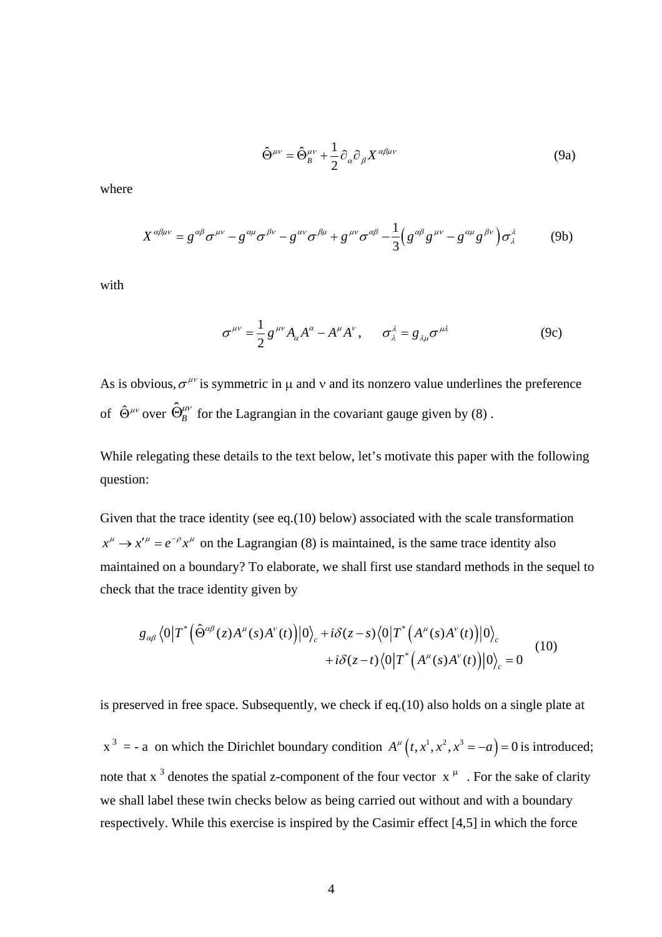$$
\hat{\Theta}^{\mu\nu} = \hat{\Theta}_{B}^{\mu\nu} + \frac{1}{2} \partial_{\alpha} \partial_{\beta} X^{\alpha\beta\mu\nu}
$$
 (9a)

where

$$
X^{\alpha\beta\mu\nu} = g^{\alpha\beta}\sigma^{\mu\nu} - g^{\alpha\mu}\sigma^{\beta\nu} - g^{\alpha\nu}\sigma^{\beta\mu} + g^{\mu\nu}\sigma^{\alpha\beta} - \frac{1}{3}\left(g^{\alpha\beta}g^{\mu\nu} - g^{\alpha\mu}g^{\beta\nu}\right)\sigma^{\lambda}_{\lambda}
$$
(9b)

with

$$
\sigma^{\mu\nu} = \frac{1}{2} g^{\mu\nu} A_{\alpha} A^{\alpha} - A^{\mu} A^{\nu}, \qquad \sigma_{\lambda}^{\lambda} = g_{\lambda\mu} \sigma^{\mu\lambda} \tag{9c}
$$

As is obvious,  $\sigma^{\mu\nu}$  is symmetric in  $\mu$  and  $\nu$  and its nonzero value underlines the preference of  $\hat{\Theta}^{\mu\nu}$  over  $\hat{\Theta}^{\mu\nu}_B$  for the Lagrangian in the covariant gauge given by (8).

While relegating these details to the text below, let's motivate this paper with the following question:

Given that the trace identity (see eq.(10) below) associated with the scale transformation  $x^{\mu} \rightarrow x'^{\mu} = e^{-\rho} x^{\mu}$  on the Lagrangian (8) is maintained, is the same trace identity also maintained on a boundary? To elaborate, we shall first use standard methods in the sequel to check that the trace identity given by

$$
g_{\alpha\beta} \langle 0|T^* (\hat{\Theta}^{\alpha\beta}(z)A^{\mu}(s)A^{\nu}(t))|0\rangle_c + i\delta(z-s) \langle 0|T^* (A^{\mu}(s)A^{\nu}(t))|0\rangle_c + i\delta(z-t) \langle 0|T^* (A^{\mu}(s)A^{\nu}(t))|0\rangle_c = 0
$$
 (10)

is preserved in free space. Subsequently, we check if eq.(10) also holds on a single plate at

 $x^3 = -a$  on which the Dirichlet boundary condition  $A^\mu (t, x^1, x^2, x^3 = -a) = 0$  is introduced; note that x<sup>3</sup> denotes the spatial z-component of the four vector  $x^{\mu}$ . For the sake of clarity we shall label these twin checks below as being carried out without and with a boundary respectively. While this exercise is inspired by the Casimir effect [4,5] in which the force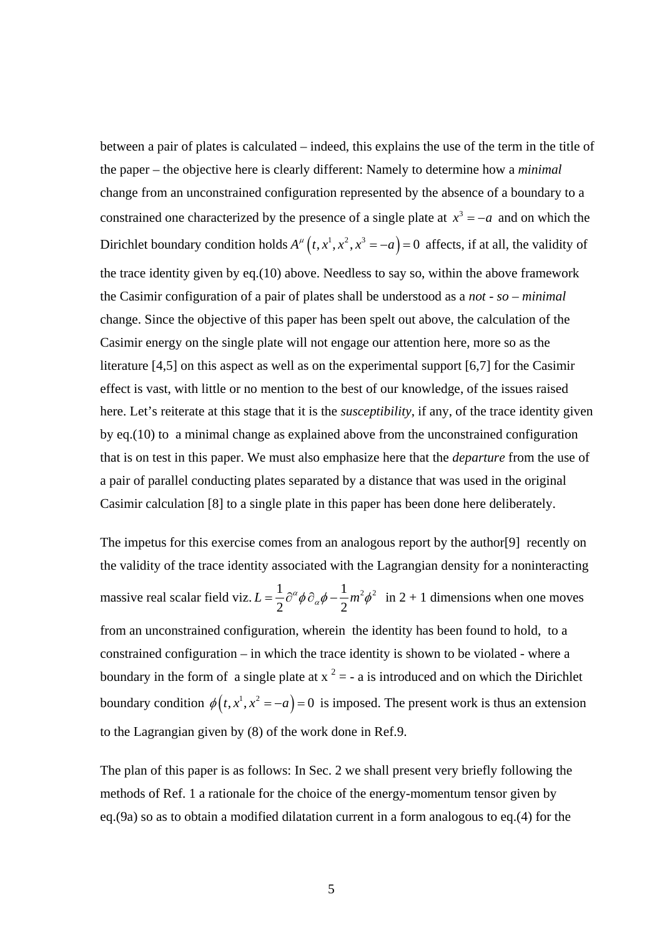between a pair of plates is calculated – indeed, this explains the use of the term in the title of the paper – the objective here is clearly different: Namely to determine how a *minimal* change from an unconstrained configuration represented by the absence of a boundary to a constrained one characterized by the presence of a single plate at  $x^3 = -a$  and on which the Dirichlet boundary condition holds  $A^{\mu}(t, x^{1}, x^{2}, x^{3} = -a) = 0$  affects, if at all, the validity of the trace identity given by eq.(10) above. Needless to say so, within the above framework the Casimir configuration of a pair of plates shall be understood as a *not - so – minimal* change. Since the objective of this paper has been spelt out above, the calculation of the Casimir energy on the single plate will not engage our attention here, more so as the literature [4,5] on this aspect as well as on the experimental support [6,7] for the Casimir effect is vast, with little or no mention to the best of our knowledge, of the issues raised here. Let's reiterate at this stage that it is the *susceptibility*, if any, of the trace identity given by eq.(10) to a minimal change as explained above from the unconstrained configuration that is on test in this paper. We must also emphasize here that the *departure* from the use of a pair of parallel conducting plates separated by a distance that was used in the original Casimir calculation [8] to a single plate in this paper has been done here deliberately.

The impetus for this exercise comes from an analogous report by the author[9] recently on the validity of the trace identity associated with the Lagrangian density for a noninteracting massive real scalar field viz.  $L = \frac{1}{2} \partial^{\alpha} \phi \partial_{\alpha} \phi - \frac{1}{2} m^2 \phi^2$  $2 \begin{array}{cc} 2 & r & a \\ r & q & 2 \end{array}$  $L = \frac{1}{2} \partial^{\alpha} \phi \partial_{\alpha} \phi - \frac{1}{2} m^2 \phi^2$  in 2 + 1 dimensions when one moves boundary condition  $\phi(t, x^1, x^2 = -a) = 0$  is imposed. The present work is thus an extension from an unconstrained configuration, wherein the identity has been found to hold, to a constrained configuration – in which the trace identity is shown to be violated - where a boundary in the form of a single plate at  $x^2 = -a$  is introduced and on which the Dirichlet to the Lagrangian given by (8) of the work done in Ref.9.

The plan of this paper is as follows: In Sec. 2 we shall present very briefly following the methods of Ref. 1 a rationale for the choice of the energy-momentum tensor given by eq.(9a) so as to obtain a modified dilatation current in a form analogous to eq.(4) for the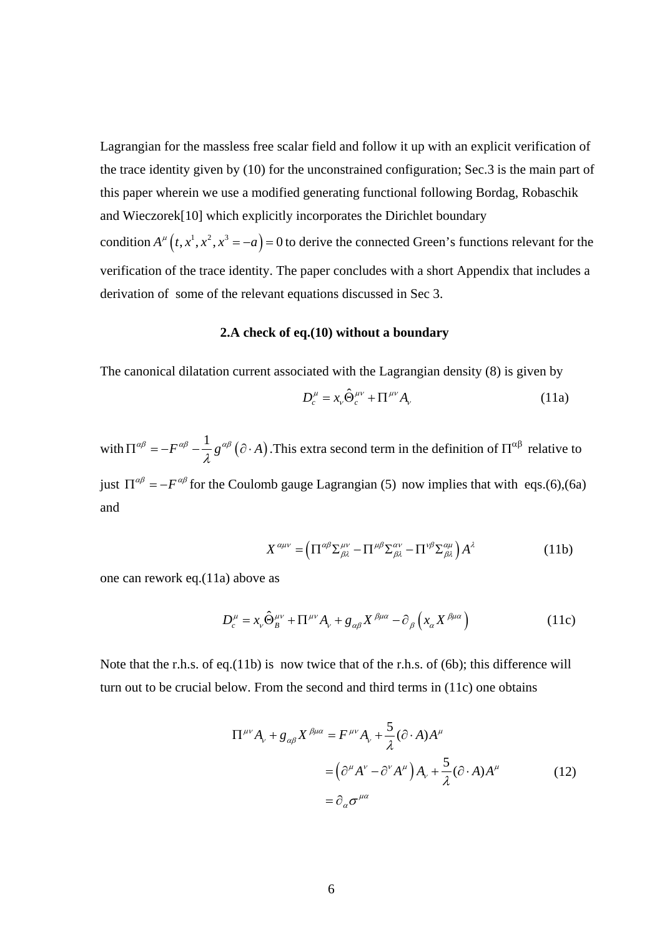Lagrangian for the massless free scalar field and follow it up with an explicit verification of the trace identity given by (10) for the unconstrained configuration; Sec.3 is the main part of this paper wherein we use a modified generating functional following Bordag, Robaschik and Wieczorek[10] which explicitly incorporates the Dirichlet boundary condition  $A^{\mu}(t, x^{1}, x^{2}, x^{3} = -a) = 0$  to derive the connected Green's functions relevant for the verification of the trace identity. The paper concludes with a short Appendix that includes a derivation of some of the relevant equations discussed in Sec 3.

#### **2.A check of eq.(10) without a boundary**

The canonical dilatation current associated with the Lagrangian density (8) is given by

$$
D_c^{\mu} = x_{\nu} \hat{\Theta}_c^{\mu\nu} + \Pi^{\mu\nu} A_{\nu}
$$
 (11a)

with  $\Pi^{\alpha\beta} = -F^{\alpha\beta} - \frac{1}{\lambda} g^{\alpha\beta} (\partial \cdot A)$ . This extra second term in the definition of  $\Pi^{\alpha\beta}$  relative to just  $\Gamma^{\alpha\beta} = -F^{\alpha\beta}$  for the Coulomb gauge Lagrangian (5) now implies that with eqs.(6),(6a) and

$$
X^{\alpha\mu\nu} = \left(\Pi^{\alpha\beta}\Sigma^{\mu\nu}_{\beta\lambda} - \Pi^{\mu\beta}\Sigma^{\alpha\nu}_{\beta\lambda} - \Pi^{\nu\beta}\Sigma^{\alpha\mu}_{\beta\lambda}\right)A^{\lambda}
$$
 (11b)

one can rework eq.(11a) above as

$$
D_c^{\mu} = x_{\nu} \hat{\Theta}_B^{\mu\nu} + \Pi^{\mu\nu} A_{\nu} + g_{\alpha\beta} X^{\beta\mu\alpha} - \partial_{\beta} \left( x_{\alpha} X^{\beta\mu\alpha} \right)
$$
(11c)

Note that the r.h.s. of eq.(11b) is now twice that of the r.h.s. of (6b); this difference will turn out to be crucial below. From the second and third terms in (11c) one obtains

$$
\Pi^{\mu\nu} A_{\nu} + g_{\alpha\beta} X^{\beta\mu\alpha} = F^{\mu\nu} A_{\nu} + \frac{5}{\lambda} (\partial \cdot A) A^{\mu}
$$
  
=  $(\partial^{\mu} A^{\nu} - \partial^{\nu} A^{\mu}) A_{\nu} + \frac{5}{\lambda} (\partial \cdot A) A^{\mu}$  (12)  
=  $\partial_{\alpha} \sigma^{\mu\alpha}$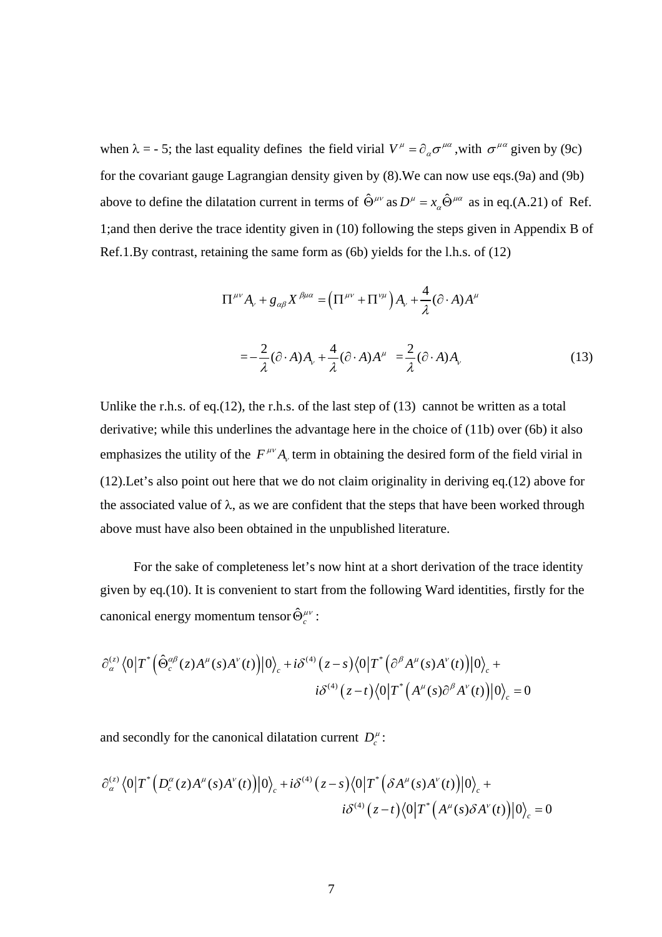when  $\lambda = -5$ ; the last equality defines the field virial  $V^{\mu} = \partial_{\alpha} \sigma^{\mu \alpha}$ , with  $\sigma^{\mu \alpha}$  given by (9c) for the covariant gauge Lagrangian density given by (8).We can now use eqs.(9a) and (9b) above to define the dilatation current in terms of  $\hat{\Theta}^{\mu\nu}$  as  $D^{\mu} = x_{\alpha} \hat{\Theta}^{\mu\alpha}$  as in eq.(A.21) of Ref. 1;and then derive the trace identity given in (10) following the steps given in Appendix B of Ref.1.By contrast, retaining the same form as (6b) yields for the l.h.s. of (12)

$$
\Pi^{\mu\nu} A_{\nu} + g_{\alpha\beta} X^{\beta\mu\alpha} = \left(\Pi^{\mu\nu} + \Pi^{\nu\mu}\right) A_{\nu} + \frac{4}{\lambda} (\partial \cdot A) A^{\mu}
$$

$$
= -\frac{2}{\lambda} (\partial \cdot A) A_{\nu} + \frac{4}{\lambda} (\partial \cdot A) A^{\mu} = \frac{2}{\lambda} (\partial \cdot A) A_{\nu}
$$
(13)

Unlike the r.h.s. of eq.(12), the r.h.s. of the last step of  $(13)$  cannot be written as a total derivative; while this underlines the advantage here in the choice of (11b) over (6b) it also emphasizes the utility of the  $F^{\mu\nu}A_{\nu}$  term in obtaining the desired form of the field virial in (12).Let's also point out here that we do not claim originality in deriving eq.(12) above for the associated value of  $\lambda$ , as we are confident that the steps that have been worked through above must have also been obtained in the unpublished literature.

 For the sake of completeness let's now hint at a short derivation of the trace identity given by eq.(10). It is convenient to start from the following Ward identities, firstly for the canonical energy momentum tensor  $\hat{\Theta}^{\mu\nu}_c$ :

$$
\partial_{\alpha}^{(z)} \langle 0|T^*\Big(\hat{\Theta}_{c}^{\alpha\beta}(z)A^{\mu}(s)A^{\nu}(t)\Big)|0\rangle_c + i\delta^{(4)}(z-s)\langle 0|T^*\Big(\partial^{\beta}A^{\mu}(s)A^{\nu}(t)\Big)|0\rangle_c + i\delta^{(4)}(z-t)\langle 0|T^*\Big(A^{\mu}(s)\partial^{\beta}A^{\nu}(t)\Big)|0\rangle_c = 0
$$

and secondly for the canonical dilatation current  $D_c^{\mu}$ :

$$
\partial_{\alpha}^{(z)} \langle 0|T^*\Big(D_c^{\alpha}(z)A^{\mu}(s)A^{\nu}(t)\Big)|0\rangle_c + i\delta^{(4)}(z-s)\langle 0|T^*\Big(\delta A^{\mu}(s)A^{\nu}(t)\Big)|0\rangle_c + i\delta^{(4)}(z-t)\langle 0|T^*\Big(A^{\mu}(s)\delta A^{\nu}(t)\Big)|0\rangle_c = 0
$$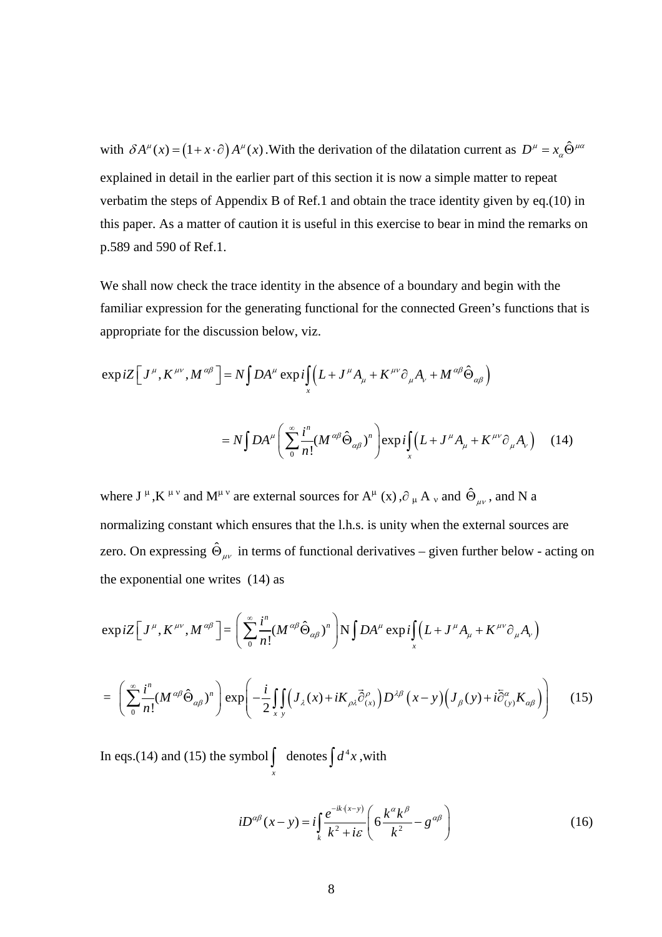with  $\delta A^{\mu}(x) = (1 + x \cdot \partial) A^{\mu}(x)$ . With the derivation of the dilatation current as  $D^{\mu} = x_{\alpha} \hat{\Theta}^{\mu\alpha}$ explained in detail in the earlier part of this section it is now a simple matter to repeat verbatim the steps of Appendix B of Ref.1 and obtain the trace identity given by eq.(10) in this paper. As a matter of caution it is useful in this exercise to bear in mind the remarks on p.589 and 590 of Ref.1.

We shall now check the trace identity in the absence of a boundary and begin with the familiar expression for the generating functional for the connected Green's functions that is appropriate for the discussion below, viz.

$$
\exp iZ \Big[ J^{\mu}, K^{\mu\nu}, M^{\alpha\beta} \Big] = N \int DA^{\mu} \exp i \int_X (L + J^{\mu} A_{\mu} + K^{\mu\nu} \partial_{\mu} A_{\nu} + M^{\alpha\beta} \hat{\Theta}_{\alpha\beta})
$$
  

$$
= N \int DA^{\mu} \Big( \sum_{0}^{\infty} \frac{i^n}{n!} (M^{\alpha\beta} \hat{\Theta}_{\alpha\beta})^n \Big) \exp i \int_X (L + J^{\mu} A_{\mu} + K^{\mu\nu} \partial_{\mu} A_{\nu}) \quad (14)
$$

where  $J^{\mu}$ , K<sup> $\mu \nu$ </sup> and M<sup> $\mu \nu$ </sup> are external sources for A<sup> $\mu$ </sup> (x),  $\partial_{\mu}$  A<sub>v</sub> and  $\hat{\Theta}_{\mu\nu}$ , and N a normalizing constant which ensures that the l.h.s. is unity when the external sources are zero. On expressing  $\hat{\Theta}_{\mu\nu}$  in terms of functional derivatives – given further below - acting on the exponential one writes (14) as

$$
\exp iZ \Big[ J^{\mu}, K^{\mu\nu}, M^{\alpha\beta} \Big] = \left( \sum_{0}^{\infty} \frac{i^{n}}{n!} (M^{\alpha\beta} \hat{\Theta}_{\alpha\beta})^{n} \right) N \int DA^{\mu} \exp i \int_{x} (L + J^{\mu} A_{\mu} + K^{\mu\nu} \partial_{\mu} A_{\nu})
$$

$$
= \left( \sum_{0}^{\infty} \frac{i^{n}}{n!} (M^{\alpha\beta} \hat{\Theta}_{\alpha\beta})^{n} \right) \exp \left( -\frac{i}{2} \int_{x} \int_{y} (J_{\lambda}(x) + iK_{\rho\lambda} \vec{\partial}_{(x)}^{\rho}) D^{\lambda\beta} (x - y) (J_{\beta}(y) + i\tilde{\partial}_{(y)}^{\alpha} K_{\alpha\beta}) \right) \tag{15}
$$

In eqs.(14) and (15) the symbol  $\vert$  denotes  $\int_{x}$  denotes  $\int d^4x$ , with

$$
iD^{\alpha\beta}(x-y) = i\int_{k} \frac{e^{-ik(x-y)}}{k^2 + i\varepsilon} \left(6\frac{k^{\alpha}k^{\beta}}{k^2} - g^{\alpha\beta}\right)
$$
 (16)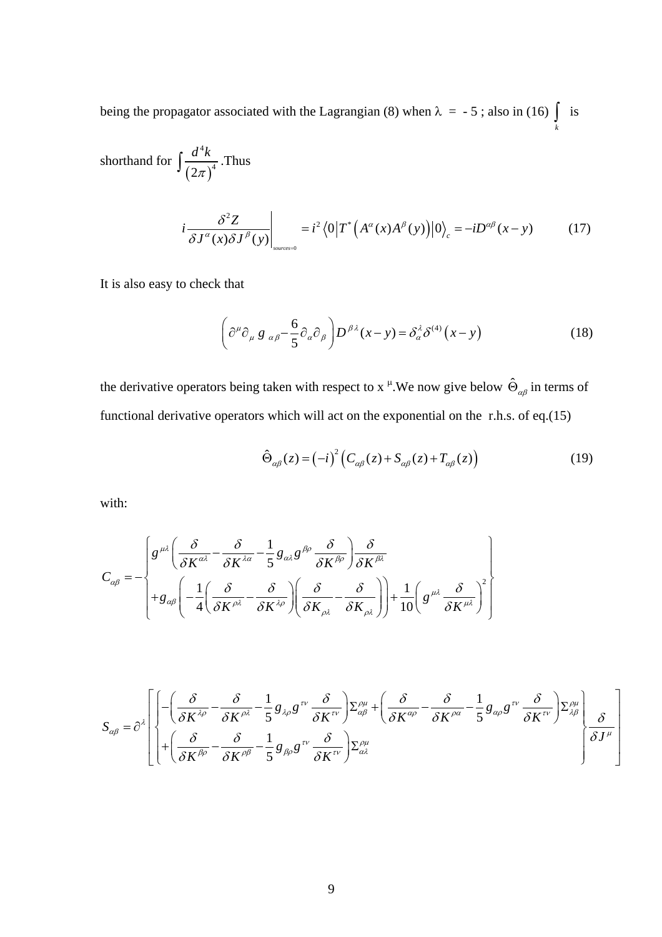being the propagator associated with the Lagrangian (8) when  $\lambda = -5$ ; also in (16)  $\int\limits_k$  is

shorthand for 
$$
\int \frac{d^4 k}{(2\pi)^4}
$$
. Thus  

$$
i \frac{\delta^2 Z}{\delta J^{\alpha}(x) \delta J^{\beta}(y)} \bigg|_{\text{sources}=0} = i^2 \langle 0 | T^* (A^{\alpha}(x) A^{\beta}(y)) | 0 \rangle_c = -i D^{\alpha\beta}(x-y) \tag{17}
$$

It is also easy to check that

$$
\left(\partial^{\mu}\partial_{\mu} g_{\alpha\beta} - \frac{6}{5}\partial_{\alpha}\partial_{\beta}\right)D^{\beta\lambda}(x-y) = \delta_{\alpha}^{\lambda}\delta^{(4)}(x-y)
$$
(18)

the derivative operators being taken with respect to x <sup> $\mu$ </sup>. We now give below  $\hat{\Theta}_{\alpha\beta}$  in terms of functional derivative operators which will act on the exponential on the r.h.s. of eq.(15)

$$
\hat{\Theta}_{\alpha\beta}(z) = (-i)^2 \left( C_{\alpha\beta}(z) + S_{\alpha\beta}(z) + T_{\alpha\beta}(z) \right) \tag{19}
$$

with:

$$
C_{\alpha\beta} = -\begin{cases} g^{\mu\lambda} \left( \frac{\delta}{\delta K^{\alpha\lambda}} - \frac{\delta}{\delta K^{\lambda\alpha}} - \frac{1}{5} g_{\alpha\lambda} g^{\beta\rho} \frac{\delta}{\delta K^{\beta\rho}} \right) \frac{\delta}{\delta K^{\beta\lambda}} \\ + g_{\alpha\beta} \left( -\frac{1}{4} \left( \frac{\delta}{\delta K^{\rho\lambda}} - \frac{\delta}{\delta K^{\lambda\rho}} \right) \left( \frac{\delta}{\delta K_{\rho\lambda}} - \frac{\delta}{\delta K_{\rho\lambda}} \right) \right) + \frac{1}{10} \left( g^{\mu\lambda} \frac{\delta}{\delta K^{\mu\lambda}} \right)^2 \end{cases}
$$

$$
S_{\alpha\beta} = \partial^{\lambda} \left[ \begin{bmatrix} -\left(\frac{\delta}{\delta K^{\lambda\rho}} - \frac{\delta}{\delta K^{\rho\lambda}} - \frac{1}{5} g_{\lambda\rho} g^{\tau\nu} \frac{\delta}{\delta K^{\tau\nu}} \right) \Sigma_{\alpha\beta}^{\rho\mu} + \left(\frac{\delta}{\delta K^{\alpha\rho}} - \frac{\delta}{\delta K^{\rho\alpha}} - \frac{1}{5} g_{\alpha\rho} g^{\tau\nu} \frac{\delta}{\delta K^{\tau\nu}} \right) \Sigma_{\lambda\beta}^{\rho\mu} \\ + \left(\frac{\delta}{\delta K^{\beta\rho}} - \frac{\delta}{\delta K^{\rho\beta}} - \frac{1}{5} g_{\beta\rho} g^{\tau\nu} \frac{\delta}{\delta K^{\tau\nu}} \right) \Sigma_{\alpha\lambda}^{\rho\mu} \end{bmatrix} \begin{bmatrix} \frac{\delta}{\delta K^{\rho\alpha}} - \frac{1}{5} g_{\alpha\rho} g^{\tau\nu} \frac{\delta}{\delta K^{\tau\nu}} \end{bmatrix} \begin{bmatrix} \frac{\delta}{\delta K^{\rho\alpha}} \\ \frac{\delta}{\delta K^{\rho\alpha}} \end{bmatrix}
$$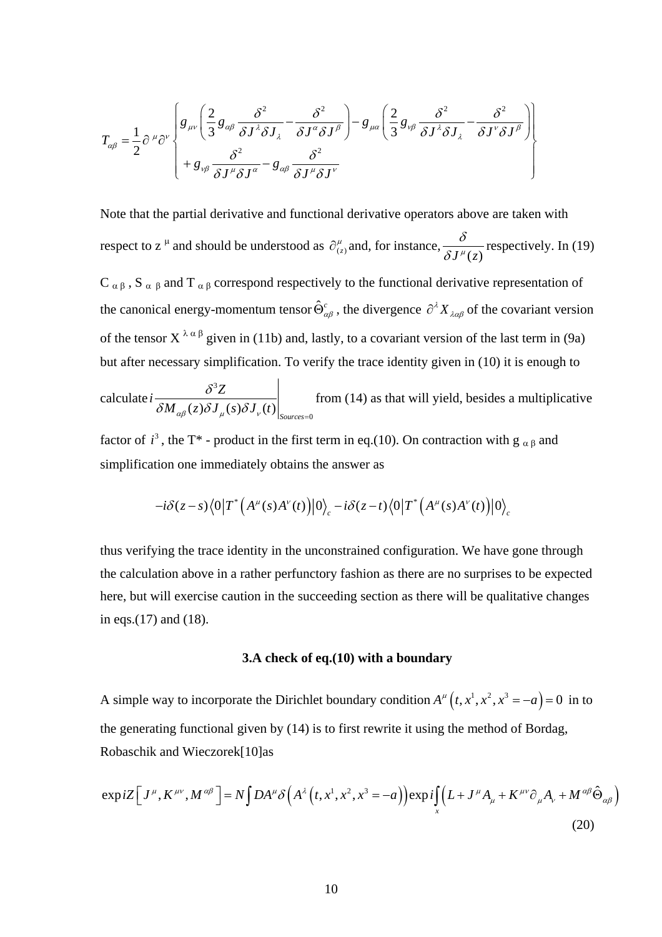$$
T_{\alpha\beta} = \frac{1}{2} \partial^{\mu} \partial^{\nu} \left\{ g_{\mu\nu} \left( \frac{2}{3} g_{\alpha\beta} \frac{\delta^{2}}{\delta J^{\lambda} \delta J_{\lambda}} - \frac{\delta^{2}}{\delta J^{\alpha} \delta J^{\beta}} \right) - g_{\mu\alpha} \left( \frac{2}{3} g_{\nu\beta} \frac{\delta^{2}}{\delta J^{\lambda} \delta J_{\lambda}} - \frac{\delta^{2}}{\delta J^{\nu} \delta J^{\beta}} \right) \right\} + g_{\nu\beta} \frac{\delta^{2}}{\delta J^{\mu} \delta J^{\alpha}} - g_{\alpha\beta} \frac{\delta^{2}}{\delta J^{\mu} \delta J^{\nu}}
$$

Note that the partial derivative and functional derivative operators above are taken with respect to z<sup> $\mu$ </sup> and should be understood as  $\partial_{(z)}^{\mu}$  and, for instance,  $\frac{\delta}{\delta J^{\mu}(z)}$  respectively. In (19) C  $\alpha$  β, S  $\alpha$  β and T  $\alpha$  β correspond respectively to the functional derivative representation of the canonical energy-momentum tensor  $\hat{\Theta}_{\alpha\beta}^c$ , the divergence  $\partial^\lambda X_{\lambda\alpha\beta}$  of the covariant version

of the tensor  $X^{\lambda\alpha\beta}$  given in (11b) and, lastly, to a covariant version of the last term in (9a) but after necessary simplification. To verify the trace identity given in (10) it is enough to

calculate 3  $(z) \delta {J}_{\mu}(s) \delta {J}_{\nu}(t) \Big|_{\textit{Sources}=0}$  $i\frac{\delta^3 Z}{\delta^3 Z}$  $M_{\alpha\beta}(z)\delta J_{\mu}(s)\delta J_{\nu}(t)$ δ  $\delta M_{\alpha\beta}(z)\delta {J}_{\mu}(s)\delta {J}_{\nu}(t)\big|_{\textit{Sources}}$ from (14) as that will yield, besides a multiplicative

factor of  $i^3$ , the T<sup>\*</sup> - product in the first term in eq.(10). On contraction with g  $\alpha \beta$  and simplification one immediately obtains the answer as

$$
-i\delta(\overline z-\overline s)\big\langle 0\big|T^*\Big(A^\mu(s)A^\nu(t)\Big)\big|0\big\rangle_c -i\delta(\overline z-\overline t)\big\langle 0\big|T^*\Big(A^\mu(s)A^\nu(t)\Big)\big|0\big\rangle_c
$$

thus verifying the trace identity in the unconstrained configuration. We have gone through the calculation above in a rather perfunctory fashion as there are no surprises to be expected here, but will exercise caution in the succeeding section as there will be qualitative changes in eqs.(17) and (18).

#### **3.A check of eq.(10) with a boundary**

A simple way to incorporate the Dirichlet boundary condition  $A^{\mu}(t, x^{1}, x^{2}, x^{3} = -a) = 0$  in to the generating functional given by (14) is to first rewrite it using the method of Bordag, Robaschik and Wieczorek[10]as

$$
\exp iZ \Big[ J^{\mu}, K^{\mu\nu}, M^{\alpha\beta} \Big] = N \int DA^{\mu} \delta \Big( A^{\lambda} \Big( t, x^{1}, x^{2}, x^{3} = -a \Big) \Big) \exp i \int_{x} \Big( L + J^{\mu} A_{\mu} + K^{\mu\nu} \partial_{\mu} A_{\nu} + M^{\alpha\beta} \hat{\Theta}_{\alpha\beta} \Big)
$$
\n(20)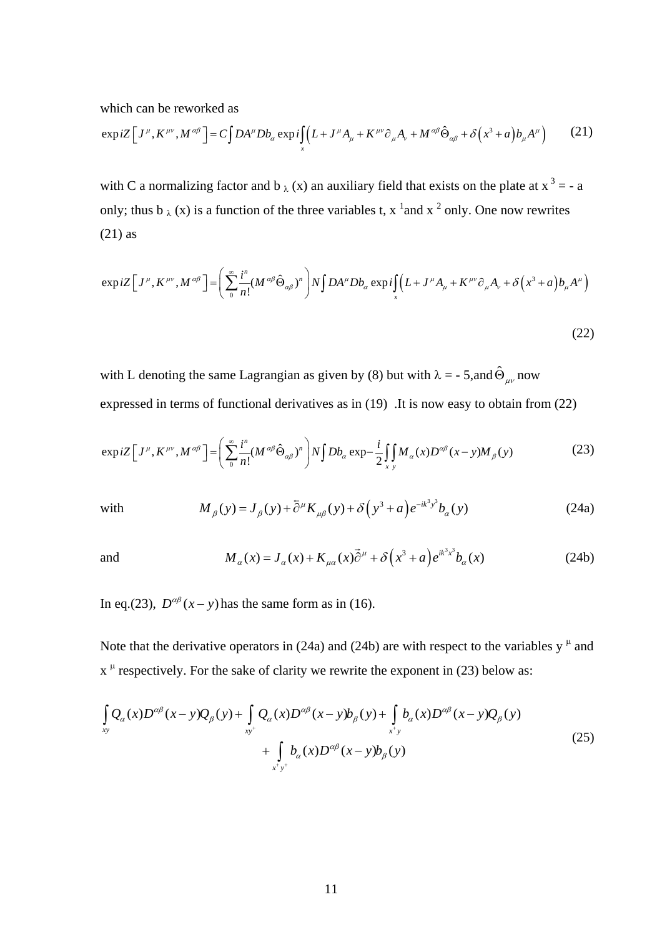which can be reworked as

$$
\exp iZ \Big[ J^{\mu}, K^{\mu\nu}, M^{\alpha\beta} \Big] = C \int DA^{\mu} D b_{\alpha} \exp i \int_X \Big( L + J^{\mu} A_{\mu} + K^{\mu\nu} \partial_{\mu} A_{\nu} + M^{\alpha\beta} \hat{\Theta}_{\alpha\beta} + \delta \Big( x^3 + a \Big) b_{\mu} A^{\mu} \Big) \tag{21}
$$

with C a normalizing factor and  $b \lambda(x)$  an auxiliary field that exists on the plate at  $x^3 = -a$ only; thus  $b_{\lambda}(x)$  is a function of the three variables t,  $x^{-1}$  and  $x^{-2}$  only. One now rewrites (21) as

$$
\exp iZ \Big[ J^{\mu}, K^{\mu\nu}, M^{\alpha\beta} \Big] = \Bigg( \sum_{0}^{\infty} \frac{i^{n}}{n!} (M^{\alpha\beta} \hat{\Theta}_{\alpha\beta})^{n} \Bigg) N \int DA^{\mu} Db_{\alpha} \exp i \int_{x} \Big( L + J^{\mu} A_{\mu} + K^{\mu\nu} \partial_{\mu} A_{\nu} + \delta \Big( x^{3} + a \Big) b_{\mu} A^{\mu} \Big) \tag{22}
$$

with L denoting the same Lagrangian as given by (8) but with  $\lambda = -5$ , and  $\hat{\Theta}_{\mu\nu}$  now expressed in terms of functional derivatives as in (19) .It is now easy to obtain from (22)

$$
\exp iZ \Big[ J^{\mu}, K^{\mu\nu}, M^{\alpha\beta} \Big] = \Bigg( \sum_{0}^{\infty} \frac{i^{n}}{n!} (M^{\alpha\beta} \hat{\Theta}_{\alpha\beta})^{n} \Bigg) N \int Db_{\alpha} \exp - \frac{i}{2} \int_{x} M_{\alpha}(x) D^{\alpha\beta}(x - y) M_{\beta}(y) \tag{23}
$$

with 
$$
M_{\beta}(y) = J_{\beta}(y) + \bar{\partial}^{\mu} K_{\mu\beta}(y) + \delta(y^3 + a) e^{-ik^3 y^3} b_{\alpha}(y)
$$
 (24a)

and 
$$
M_{\alpha}(x) = J_{\alpha}(x) + K_{\mu\alpha}(x)\vec{\partial}^{\mu} + \delta(x^{3} + a)e^{ik^{3}x^{3}}b_{\alpha}(x)
$$
 (24b)

In eq.(23),  $D^{\alpha\beta}(x-y)$  has the same form as in (16).

Note that the derivative operators in (24a) and (24b) are with respect to the variables  $y^{\mu}$  and  $x^{\mu}$  respectively. For the sake of clarity we rewrite the exponent in (23) below as:

$$
\int_{xy} Q_{\alpha}(x)D^{\alpha\beta}(x-y)Q_{\beta}(y) + \int_{xy^{+}} Q_{\alpha}(x)D^{\alpha\beta}(x-y)b_{\beta}(y) + \int_{x^{+}y} b_{\alpha}(x)D^{\alpha\beta}(x-y)Q_{\beta}(y) + \int_{x^{+}y^{+}} b_{\alpha}(x)D^{\alpha\beta}(x-y)b_{\beta}(y)
$$
\n(25)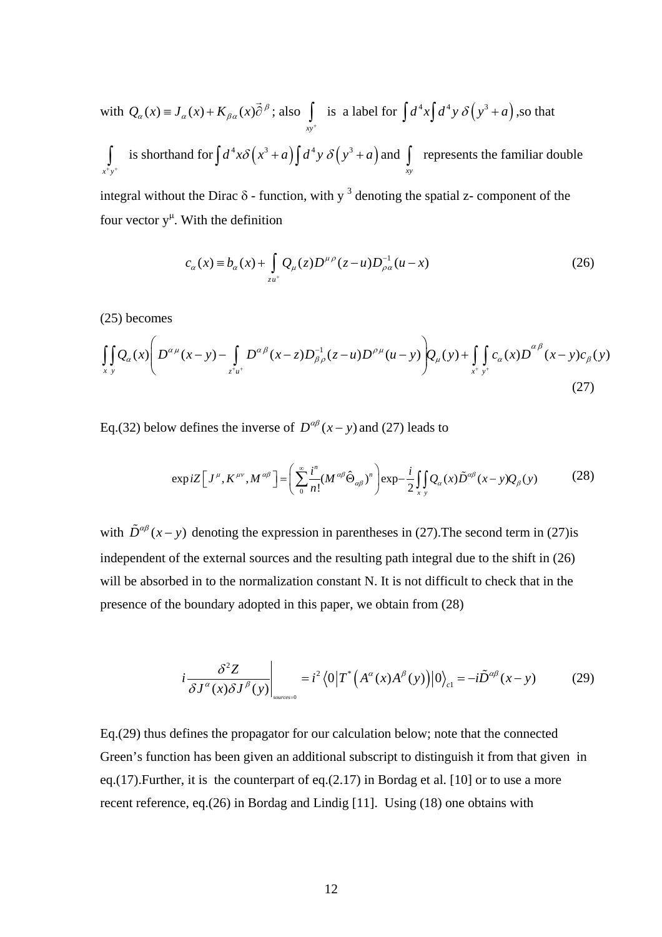with 
$$
Q_{\alpha}(x) = J_{\alpha}(x) + K_{\beta\alpha}(x)\overrightarrow{\partial}^{\beta}
$$
; also  $\int_{xy^+}$  is a label for  $\int d^4x \int d^4y \delta(y^3 + a)$ , so that  

$$
\int_{x^+y^+}
$$
 is shorthand for  $\int d^4x \delta(x^3 + a) \int d^4y \delta(y^3 + a)$  and  $\int_{xy}$  represents the familiar double

integral without the Dirac  $\delta$  - function, with y<sup>3</sup> denoting the spatial z- component of the four vector  $y^{\mu}$ . With the definition

$$
c_{\alpha}(x) \equiv b_{\alpha}(x) + \int_{z u^{+}} Q_{\mu}(z) D^{\mu \rho}(z - u) D_{\rho \alpha}^{-1}(u - x)
$$
 (26)

(25) becomes

$$
\iint_{x \ y} Q_{\alpha}(x) \left( D^{\alpha \mu}(x - y) - \int_{z^+ u^+} D^{\alpha \beta}(x - z) D_{\beta \rho}^{-1}(z - u) D^{\rho \mu}(u - y) \right) Q_{\mu}(y) + \iint_{x^+ y^+} c_{\alpha}(x) D^{\alpha \beta}(x - y) c_{\beta}(y)
$$
\n(27)

Eq.(32) below defines the inverse of  $D^{\alpha\beta}(x - y)$  and (27) leads to

$$
\exp iZ \Big[ J^{\mu}, K^{\mu\nu}, M^{\alpha\beta} \Big] = \Bigg( \sum_{0}^{\infty} \frac{i^{n}}{n!} (M^{\alpha\beta} \hat{\Theta}_{\alpha\beta})^{n} \Bigg) \exp -\frac{i}{2} \int_{x} Q_{\alpha}(x) \tilde{D}^{\alpha\beta}(x-y) Q_{\beta}(y) \tag{28}
$$

with  $\tilde{D}^{\alpha\beta}(x-y)$  denoting the expression in parentheses in (27). The second term in (27)is independent of the external sources and the resulting path integral due to the shift in (26) will be absorbed in to the normalization constant N. It is not difficult to check that in the presence of the boundary adopted in this paper, we obtain from (28)

$$
i\frac{\delta^2 Z}{\delta J^{\alpha}(x)\delta J^{\beta}(y)}\bigg|_{\text{sources=0}} = i^2 \langle 0|T^*\big(A^{\alpha}(x)A^{\beta}(y)\big)|0\rangle_{\text{cl}} = -i\tilde{D}^{\alpha\beta}(x-y) \tag{29}
$$

Eq.(29) thus defines the propagator for our calculation below; note that the connected Green's function has been given an additional subscript to distinguish it from that given in eq.(17).Further, it is the counterpart of eq.(2.17) in Bordag et al. [10] or to use a more recent reference, eq.(26) in Bordag and Lindig [11]. Using (18) one obtains with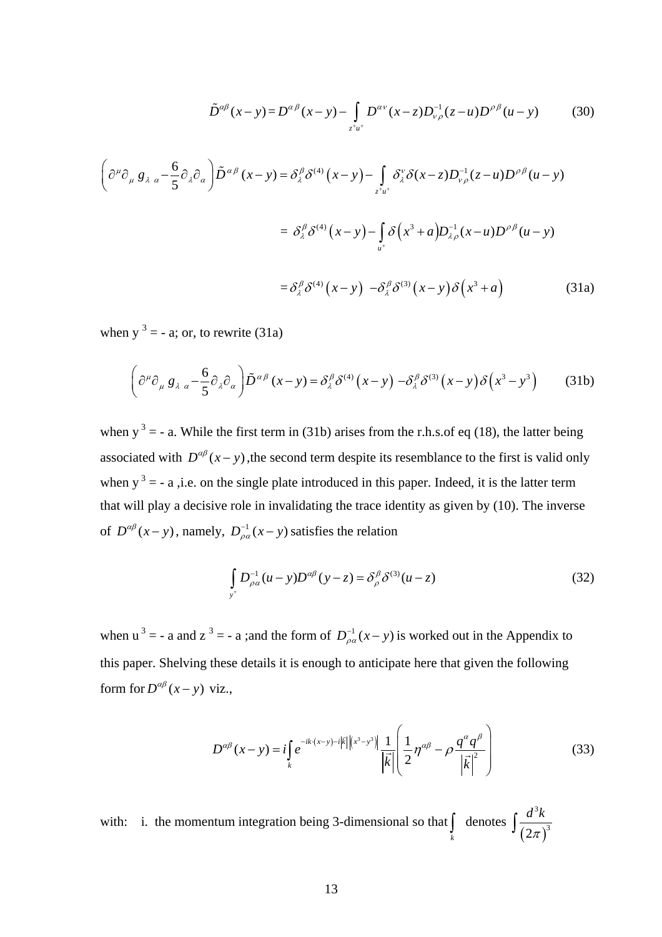$$
\tilde{D}^{\alpha\beta}(x-y) = D^{\alpha\beta}(x-y) - \int_{z^+u^+} D^{\alpha\nu}(x-z) D_{\nu\rho}^{-1}(z-u) D^{\rho\beta}(u-y) \tag{30}
$$

$$
\left(\partial^{\mu}\partial_{\mu}g_{\lambda\alpha} - \frac{6}{5}\partial_{\lambda}\partial_{\alpha}\right)\tilde{D}^{\alpha\beta}(x-y) = \delta^{\beta}_{\lambda}\delta^{(4)}(x-y) - \int_{z^+u^+} \delta^{\nu}_{\lambda}\delta(x-z)D^{-1}_{\nu\rho}(z-u)D^{\rho\beta}(u-y)
$$

$$
= \delta^{\beta}_{\lambda}\delta^{(4)}(x-y) - \int_{u^+}\delta(x^3+a)D^{-1}_{\lambda\rho}(x-u)D^{\rho\beta}(u-y)
$$

$$
= \delta^{\beta}_{\lambda}\delta^{(4)}(x-y) - \delta^{\beta}_{\lambda}\delta^{(3)}(x-y)\delta(x^3+a) \tag{31a}
$$

when  $y^3 = -a$ ; or, to rewrite (31a)

$$
\left(\partial^{\mu}\partial_{\mu}g_{\lambda\alpha} - \frac{6}{5}\partial_{\lambda}\partial_{\alpha}\right)\tilde{D}^{\alpha\beta}(x-y) = \delta^{\beta}_{\lambda}\delta^{(4)}(x-y) - \delta^{\beta}_{\lambda}\delta^{(3)}(x-y)\delta(x^{3}-y^{3})\tag{31b}
$$

of  $D^{\alpha\beta}(x-y)$ , namely,  $D^{-1}_{\rho\alpha}(x-y)$  satisfies the relation when  $y^3 = -a$ . While the first term in (31b) arises from the r.h.s.of eq (18), the latter being associated with  $D^{\alpha\beta}(x-y)$ , the second term despite its resemblance to the first is valid only when  $y^3 = -a$ , i.e. on the single plate introduced in this paper. Indeed, it is the latter term that will play a decisive role in invalidating the trace identity as given by (10). The inverse

$$
\int_{y^{+}} D_{\rho\alpha}^{-1} (u - y) D^{\alpha\beta} (y - z) = \delta_{\rho}^{\beta} \delta^{(3)} (u - z)
$$
\n(32)

when  $u^3 = -a$  and  $z^3 = -a$ ; and the form of  $D_{\rho a}^{-1}(x - y)$  is worked out in the Appendix to this paper. Shelving these details it is enough to anticipate here that given the following form for  $D^{\alpha\beta}(x - y)$  viz.,

$$
D^{\alpha\beta}(x-y) = i \int_{k} e^{-ik \cdot (x-y) - i|\vec{k}| |(x^{3}-y^{3})|} \frac{1}{|\vec{k}|} \left( \frac{1}{2} \eta^{\alpha\beta} - \rho \frac{q^{\alpha} q^{\beta}}{|\vec{k}|^{2}} \right)
$$
(33)

with: i. the momentum integration being 3-dimensional so that  $\int_{k}$  denotes  $\int \frac{a \kappa}{(2\pi)}$ 3  $(2\pi)^3$  $\int \frac{d^3k}{(2\pi)}$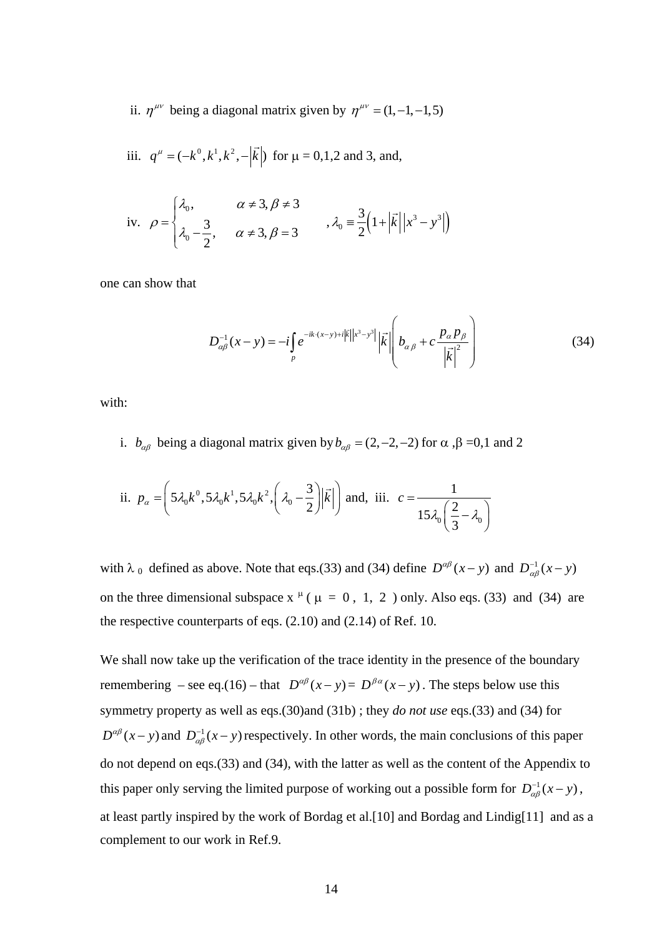ii.  $\eta^{\mu\nu}$  being a diagonal matrix given by  $\eta^{\mu\nu} = (1, -1, -1, 5)$ 

iii.  $q^{\mu} = (-k^0, k^1, k^2, -|\vec{k}|)$  for  $\mu = 0, 1, 2$  and 3, and,

iv. 
$$
\rho = \begin{cases} \lambda_0, & \alpha \neq 3, \beta \neq 3 \\ \lambda_0 - \frac{3}{2}, & \alpha \neq 3, \beta = 3 \end{cases}
$$
,  $\lambda_0 = \frac{3}{2} (1 + |\vec{k}| |x^3 - y^3|)$ 

one can show that

$$
D_{\alpha\beta}^{-1}(x-y) = -i \int_{p} e^{-ik \cdot (x-y) + i|\vec{k}| |x^{3}-y^{3}|} |\vec{k}| \left( b_{\alpha\beta} + c \frac{p_{\alpha} p_{\beta}}{|\vec{k}|^{2}} \right)
$$
(34)

with:

i. *b<sub>αβ</sub>* being a diagonal matrix given by  $b_{\alpha\beta} = (2, -2, -2)$  for  $\alpha$ ,  $\beta = 0, 1$  and 2

ii. 
$$
p_{\alpha} = \left(5\lambda_0 k^0, 5\lambda_0 k^1, 5\lambda_0 k^2, \left(\lambda_0 - \frac{3}{2}\right) \middle| \vec{k} \middle| \right)
$$
 and, iii.  $c = \frac{1}{15\lambda_0 \left(\frac{2}{3} - \lambda_0\right)}$ 

with  $\lambda_0$  defined as above. Note that eqs.(33) and (34) define  $D^{\alpha\beta}(x-y)$  and  $D^{-1}_{\alpha\beta}(x-y)$ on the three dimensional subspace  $x^{\mu}$  ( $\mu = 0, 1, 2$ ) only. Also eqs. (33) and (34) are the respective counterparts of eqs. (2.10) and (2.14) of Ref. 10.

We shall now take up the verification of the trace identity in the presence of the boundary remembering – see eq.(16) – that  $D^{\alpha\beta}(x-y) = D^{\beta\alpha}(x-y)$ . The steps below use this symmetry property as well as eqs.(30)and (31b) ; they *do not use* eqs.(33) and (34) for  $D^{\alpha\beta}(x-y)$  and  $D^{-1}_{\alpha\beta}(x-y)$  respectively. In other words, the main conclusions of this paper do not depend on eqs.(33) and (34), with the latter as well as the content of the Appendix to this paper only serving the limited purpose of working out a possible form for  $D_{\alpha\beta}^{-1}(x-y)$ , at least partly inspired by the work of Bordag et al.[10] and Bordag and Lindig[11] and as a complement to our work in Ref.9.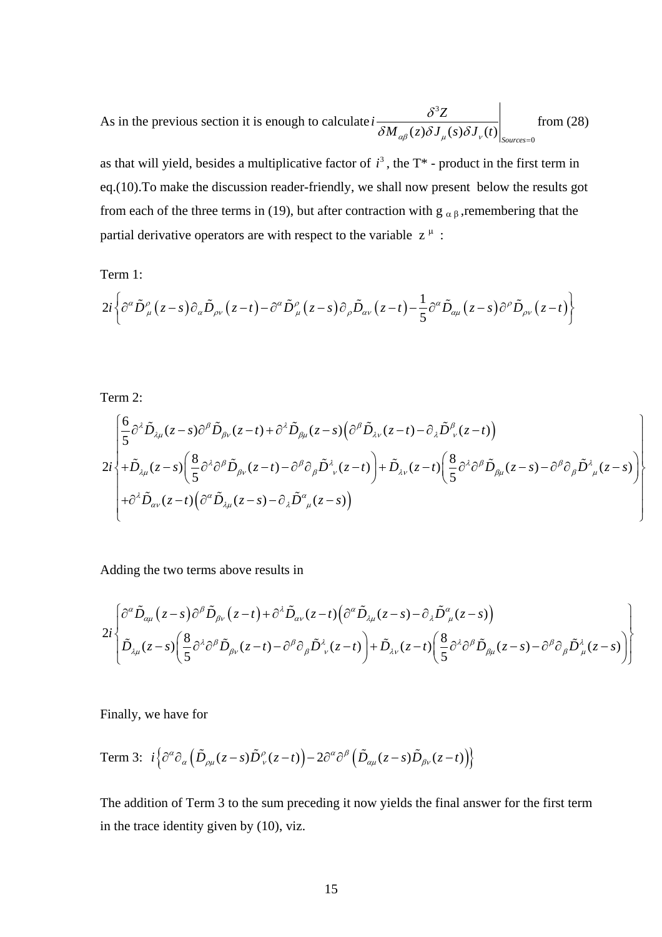As in the previous section it is enough to calculate 3  $\left.(z)\delta {J}_{\mu}(s)\delta {J}_{\nu}(t)\right|_{\textit{Sources}=0}$  $i\frac{\delta^3 Z}{\delta^3 Z}$  $M_{\alpha\beta}(z)\delta J_{\mu}(s)\delta J_{\nu}(t)$ δ  $\delta M_{\alpha\beta}(z)\delta {J}_{\mu}(s)\delta {J}_{\nu}(t)\big|_{\textit{Sources}}$ from (28)

as that will yield, besides a multiplicative factor of  $i^3$ , the  $T^*$  - product in the first term in eq.(10).To make the discussion reader-friendly, we shall now present below the results got from each of the three terms in (19), but after contraction with  $g_{\alpha\beta}$ , remembering that the partial derivative operators are with respect to the variable  $z^{\mu}$ :

Term 1:

$$
2i\bigg\{\partial^{\alpha}\tilde{D}^{\rho}_{\mu}\big(z-s\big)\partial_{\alpha}\tilde{D}_{\rho\nu}\big(z-t\big)-\partial^{\alpha}\tilde{D}^{\rho}_{\mu}\big(z-s\big)\partial_{\rho}\tilde{D}_{\alpha\nu}\big(z-t\big)-\frac{1}{5}\partial^{\alpha}\tilde{D}_{\alpha\mu}\big(z-s\big)\partial^{\rho}\tilde{D}_{\rho\nu}\big(z-t\big)\bigg\}
$$

Term 2:

$$
2i\begin{cases}\frac{6}{5}\partial^{\lambda}\tilde{D}_{\lambda\mu}(z-s)\partial^{\beta}\tilde{D}_{\beta\nu}(z-t)+\partial^{\lambda}\tilde{D}_{\beta\mu}(z-s)\Big(\partial^{\beta}\tilde{D}_{\lambda\nu}(z-t)-\partial_{\lambda}\tilde{D}^{\beta}_{\nu}(z-t)\Big)\\+\tilde{D}_{\lambda\mu}(z-s)\Big(\frac{8}{5}\partial^{\lambda}\partial^{\beta}\tilde{D}_{\beta\nu}(z-t)-\partial^{\beta}\partial_{\beta}\tilde{D}^{\lambda}_{\nu}(z-t)\Big)+\tilde{D}_{\lambda\nu}(z-t)\Big(\frac{8}{5}\partial^{\lambda}\partial^{\beta}\tilde{D}_{\beta\mu}(z-s)-\partial^{\beta}\partial_{\beta}\tilde{D}^{\lambda}_{\mu}(z-s)\Big)\\+\partial^{\lambda}\tilde{D}_{\alpha\nu}(z-t)\Big(\partial^{\alpha}\tilde{D}_{\lambda\mu}(z-s)-\partial_{\lambda}\tilde{D}^{\alpha}_{\mu}(z-s)\Big)\end{cases}
$$

Adding the two terms above results in

$$
2i\begin{bmatrix} \frac{\partial^{\alpha}\tilde{D}_{\alpha\mu}(z-s)\partial^{\beta}\tilde{D}_{\beta\nu}(z-t)+\partial^{\lambda}\tilde{D}_{\alpha\nu}(z-t)\big(\partial^{\alpha}\tilde{D}_{\lambda\mu}(z-s)-\partial_{\lambda}\tilde{D}^{\alpha}_{\mu}(z-s)\big) \\ \frac{\partial}{\partial\mu}(z-s)\bigg(\frac{8}{5}\partial^{\lambda}\partial^{\beta}\tilde{D}_{\beta\nu}(z-t)-\partial^{\beta}\partial_{\beta}\tilde{D}^{\lambda}_{\nu}(z-t)\bigg)+\tilde{D}_{\lambda\nu}(z-t)\bigg(\frac{8}{5}\partial^{\lambda}\partial^{\beta}\tilde{D}_{\beta\mu}(z-s)-\partial^{\beta}\partial_{\beta}\tilde{D}^{\lambda}_{\mu}(z-s)\bigg)\end{bmatrix}
$$

Finally, we have for

Term 3: 
$$
i \Big\{ \partial^{\alpha} \partial_{\alpha} \Big( \tilde{D}_{\rho\mu}(z-s) \tilde{D}^{\rho}_{\nu}(z-t) \Big) - 2 \partial^{\alpha} \partial^{\beta} \Big( \tilde{D}_{\alpha\mu}(z-s) \tilde{D}_{\beta\nu}(z-t) \Big) \Big\}
$$

The addition of Term 3 to the sum preceding it now yields the final answer for the first term in the trace identity given by (10), viz.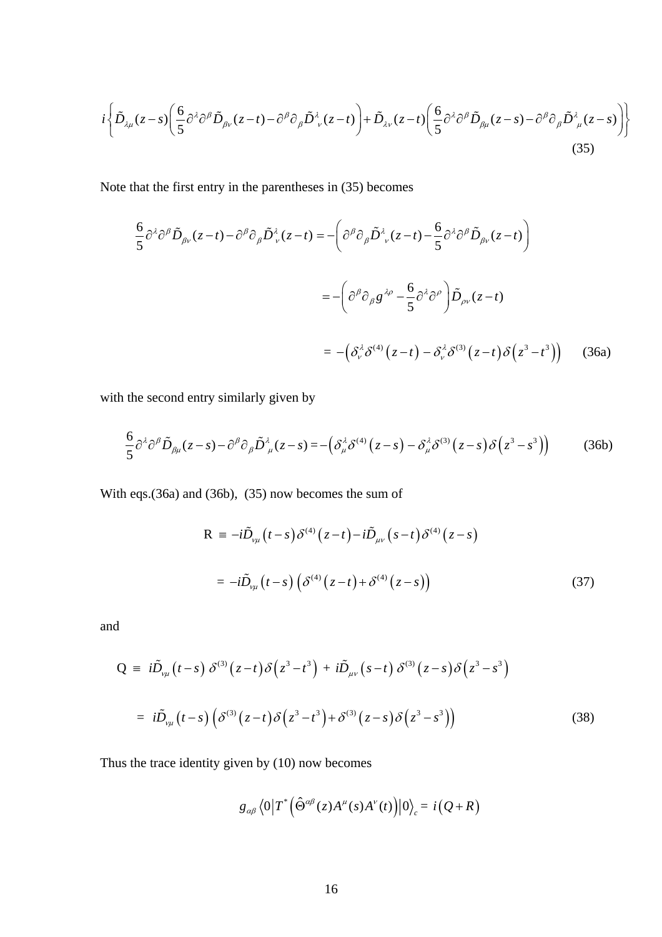$$
i\left\{\tilde{D}_{\lambda\mu}(z-s)\left(\frac{6}{5}\partial^{\lambda}\partial^{\beta}\tilde{D}_{\beta\nu}(z-t)-\partial^{\beta}\partial_{\beta}\tilde{D}^{\lambda}_{\nu}(z-t)\right)+\tilde{D}_{\lambda\nu}(z-t)\left(\frac{6}{5}\partial^{\lambda}\partial^{\beta}\tilde{D}_{\beta\mu}(z-s)-\partial^{\beta}\partial_{\beta}\tilde{D}^{\lambda}_{\mu}(z-s)\right)\right\}
$$
\n(35)

Note that the first entry in the parentheses in (35) becomes

$$
\frac{6}{5} \partial^{\lambda} \partial^{\beta} \tilde{D}_{\beta \nu} (z-t) - \partial^{\beta} \partial_{\beta} \tilde{D}_{\nu}^{\lambda} (z-t) = -\left( \partial^{\beta} \partial_{\beta} \tilde{D}_{\nu}^{\lambda} (z-t) - \frac{6}{5} \partial^{\lambda} \partial^{\beta} \tilde{D}_{\beta \nu} (z-t) \right)
$$

$$
= -\left( \partial^{\beta} \partial_{\beta} g^{\lambda \rho} - \frac{6}{5} \partial^{\lambda} \partial^{\rho} \right) \tilde{D}_{\rho \nu} (z-t)
$$

$$
= -\left( \partial_{\nu}^{\lambda} \partial^{\langle 4 \rangle} (z-t) - \partial_{\nu}^{\lambda} \partial^{\langle 3 \rangle} (z-t) \partial^{\langle 2 \rangle} (z^3 - t^3) \right) \tag{36a}
$$

with the second entry similarly given by

$$
\frac{6}{5}\partial^{\lambda}\partial^{\beta}\tilde{D}_{\beta\mu}(z-s)-\partial^{\beta}\partial_{\beta}\tilde{D}_{\mu}^{\lambda}(z-s)=-\left(\delta_{\mu}^{\lambda}\delta^{(4)}(z-s)-\delta_{\mu}^{\lambda}\delta^{(3)}(z-s)\delta(z^{3}-s^{3})\right)
$$
(36b)

With eqs.(36a) and (36b), (35) now becomes the sum of

$$
R = -i\tilde{D}_{\nu\mu}(t-s)\delta^{(4)}(z-t) - i\tilde{D}_{\mu\nu}(s-t)\delta^{(4)}(z-s)
$$

$$
= -i\tilde{D}_{\nu\mu}(t-s)\left(\delta^{(4)}(z-t) + \delta^{(4)}(z-s)\right)
$$
(37)

and

$$
Q = i\tilde{D}_{\nu\mu}(t-s)\delta^{(3)}(z-t)\delta(z^3-t^3) + i\tilde{D}_{\mu\nu}(s-t)\delta^{(3)}(z-s)\delta(z^3-s^3)
$$
  

$$
= i\tilde{D}_{\nu\mu}(t-s)\left(\delta^{(3)}(z-t)\delta(z^3-t^3) + \delta^{(3)}(z-s)\delta(z^3-s^3)\right)
$$
(38)

Thus the trace identity given by (10) now becomes

$$
g_{\alpha\beta}\left\langle 0\big|T^*\Big(\hat{\Theta}^{\alpha\beta}(z)A^\mu(s)A^\nu(t)\Big)\big|0\big\rangle_c=i\big(Q\!+\!R\big)
$$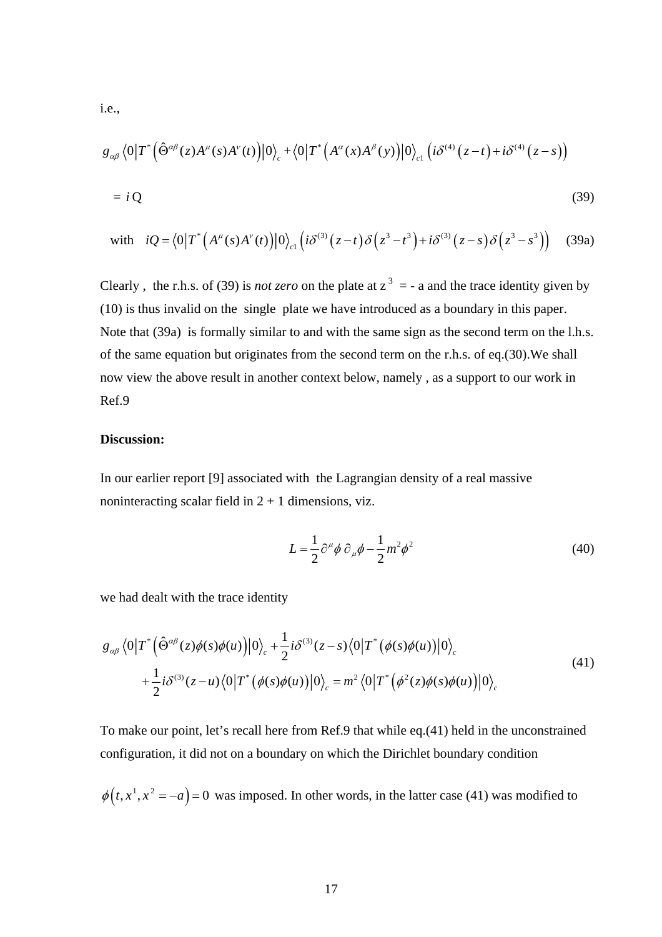i.e.,

$$
g_{\alpha\beta} \langle 0|T^* (\hat{\Theta}^{\alpha\beta}(z)A^{\mu}(s)A^{\nu}(t))|0\rangle_c + \langle 0|T^* (A^{\alpha}(x)A^{\beta}(y))|0\rangle_{c1} (i\delta^{(4)}(z-t) + i\delta^{(4)}(z-s))
$$
  
=  $iQ$  (39)

with 
$$
iQ = \langle 0|T^*\left(A^{\mu}(s)A^{\nu}(t)\right)|0\rangle_{c1}\left(i\delta^{(3)}(z-t)\delta(z^3-t^3)+i\delta^{(3)}(z-s)\delta(z^3-s^3)\right)
$$
 (39a)

Clearly, the r.h.s. of (39) is *not zero* on the plate at  $z^3 = -a$  and the trace identity given by (10) is thus invalid on the single plate we have introduced as a boundary in this paper. Note that (39a) is formally similar to and with the same sign as the second term on the l.h.s. of the same equation but originates from the second term on the r.h.s. of eq.(30).We shall now view the above result in another context below, namely , as a support to our work in Ref.9

### **Discussion:**

In our earlier report [9] associated with the Lagrangian density of a real massive noninteracting scalar field in  $2 + 1$  dimensions, viz.

$$
L = \frac{1}{2} \partial^{\mu} \phi \, \partial_{\mu} \phi - \frac{1}{2} m^2 \phi^2 \tag{40}
$$

we had dealt with the trace identity

$$
g_{\alpha\beta} \langle 0|T^* (\hat{\Theta}^{\alpha\beta}(z)\phi(s)\phi(u))|0\rangle_c + \frac{1}{2} i\delta^{(3)}(z-s) \langle 0|T^* (\phi(s)\phi(u))|0\rangle_c + \frac{1}{2} i\delta^{(3)}(z-u) \langle 0|T^* (\phi(s)\phi(u))|0\rangle_c = m^2 \langle 0|T^* (\phi^2(z)\phi(s)\phi(u))|0\rangle_c
$$
(41)

To make our point, let's recall here from Ref.9 that while eq.(41) held in the unconstrained configuration, it did not on a boundary on which the Dirichlet boundary condition

 $\phi(t, x^1, x^2 = -a) = 0$  was imposed. In other words, in the latter case (41) was modified to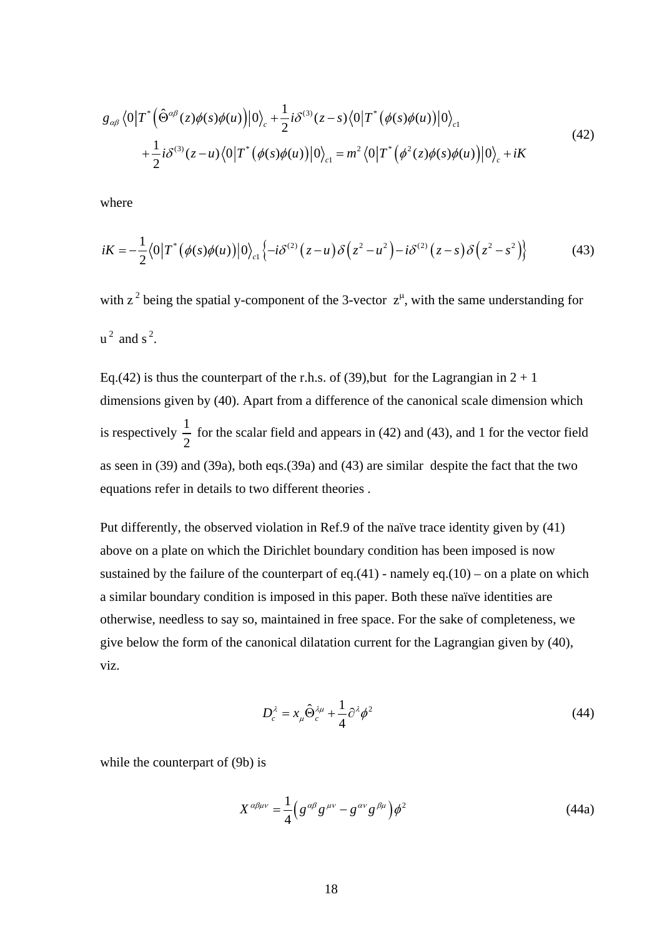$$
g_{\alpha\beta} \langle 0|T^* (\hat{\Theta}^{\alpha\beta}(z)\phi(s)\phi(u))|0\rangle_c + \frac{1}{2}i\delta^{(3)}(z-s)\langle 0|T^* (\phi(s)\phi(u))|0\rangle_{c1} + \frac{1}{2}i\delta^{(3)}(z-u)\langle 0|T^* (\phi(s)\phi(u))|0\rangle_{c1} = m^2 \langle 0|T^* (\phi^2(z)\phi(s)\phi(u))|0\rangle_c + iK
$$
\n(42)

where

$$
iK = -\frac{1}{2}\langle 0|T^*\left(\phi(s)\phi(u)\right)|0\rangle_{c1}\left\{-i\delta^{(2)}\left(z-u\right)\delta\left(z^2-u^2\right)-i\delta^{(2)}\left(z-s\right)\delta\left(z^2-s^2\right)\right\}\tag{43}
$$

with  $z^2$  being the spatial y-component of the 3-vector  $z^{\mu}$ , with the same understanding for  $u^2$  and  $s^2$ .

Eq.(42) is thus the counterpart of the r.h.s. of (39), but for the Lagrangian in  $2 + 1$ dimensions given by (40). Apart from a difference of the canonical scale dimension which is respectively  $\frac{1}{2}$ 2 for the scalar field and appears in (42) and (43), and 1 for the vector field as seen in (39) and (39a), both eqs.(39a) and (43) are similar despite the fact that the two equations refer in details to two different theories .

Put differently, the observed violation in Ref.9 of the naïve trace identity given by (41) above on a plate on which the Dirichlet boundary condition has been imposed is now sustained by the failure of the counterpart of eq.(41) - namely eq.(10) – on a plate on which a similar boundary condition is imposed in this paper. Both these naïve identities are otherwise, needless to say so, maintained in free space. For the sake of completeness, we give below the form of the canonical dilatation current for the Lagrangian given by (40), viz.

$$
D_c^{\lambda} = x_{\mu} \hat{\Theta}_c^{\lambda \mu} + \frac{1}{4} \partial^{\lambda} \phi^2 \tag{44}
$$

while the counterpart of (9b) is

$$
X^{\alpha\beta\mu\nu} = \frac{1}{4} \Big( g^{\alpha\beta} g^{\mu\nu} - g^{\alpha\nu} g^{\beta\mu} \Big) \phi^2 \tag{44a}
$$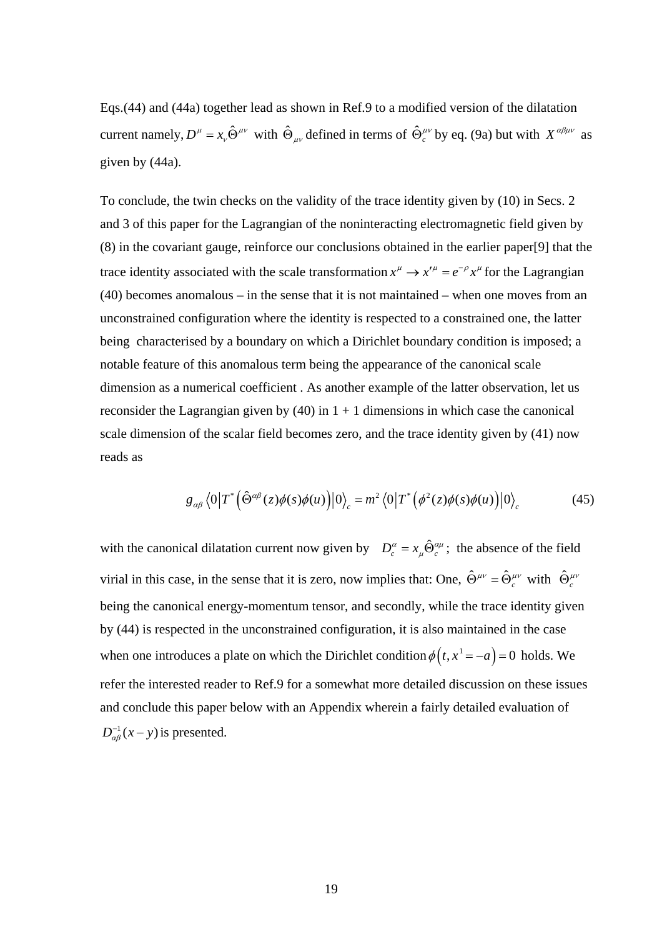Eqs.(44) and (44a) together lead as shown in Ref.9 to a modified version of the dilatation current namely,  $D^{\mu} = x_{\nu} \hat{\Theta}^{\mu\nu}$  with  $\hat{\Theta}_{\mu\nu}$  defined in terms of  $\hat{\Theta}_{c}^{\mu\nu}$  by eq. (9a) but with  $X^{\alpha\beta\mu\nu}$  as given by (44a).

To conclude, the twin checks on the validity of the trace identity given by (10) in Secs. 2 and 3 of this paper for the Lagrangian of the noninteracting electromagnetic field given by (8) in the covariant gauge, reinforce our conclusions obtained in the earlier paper[9] that the trace identity associated with the scale transformation  $x^{\mu} \to x'^{\mu} = e^{-\rho} x^{\mu}$  for the Lagrangian (40) becomes anomalous – in the sense that it is not maintained – when one moves from an unconstrained configuration where the identity is respected to a constrained one, the latter being characterised by a boundary on which a Dirichlet boundary condition is imposed; a notable feature of this anomalous term being the appearance of the canonical scale dimension as a numerical coefficient . As another example of the latter observation, let us reconsider the Lagrangian given by (40) in  $1 + 1$  dimensions in which case the canonical scale dimension of the scalar field becomes zero, and the trace identity given by (41) now reads as

$$
g_{\alpha\beta} \langle 0|T^* \Big(\hat{\Theta}^{\alpha\beta}(z)\phi(s)\phi(u)\Big)|0\rangle_c = m^2 \langle 0|T^* \Big(\phi^2(z)\phi(s)\phi(u)\Big)|0\rangle_c \tag{45}
$$

with the canonical dilatation current now given by  $D_c^{\alpha} = x_{\mu} \hat{\Theta}_c^{\alpha \mu}$ ; the absence of the field virial in this case, in the sense that it is zero, now implies that: One,  $\hat{\Theta}^{\mu\nu}_{\mu} = \hat{\Theta}^{\mu\nu}_{\nu}$  with  $\hat{\Theta}^{\mu\nu}_{\nu}$ being the canonical energy-momentum tensor, and secondly, while the trace identity given by (44) is respected in the unconstrained configuration, it is also maintained in the case when one introduces a plate on which the Dirichlet condition  $\phi(t, x^1 = -a) = 0$  holds. We refer the interested reader to Ref.9 for a somewhat more detailed discussion on these issues and conclude this paper below with an Appendix wherein a fairly detailed evaluation of  $D_{\alpha\beta}^{-1}(x-y)$  is presented.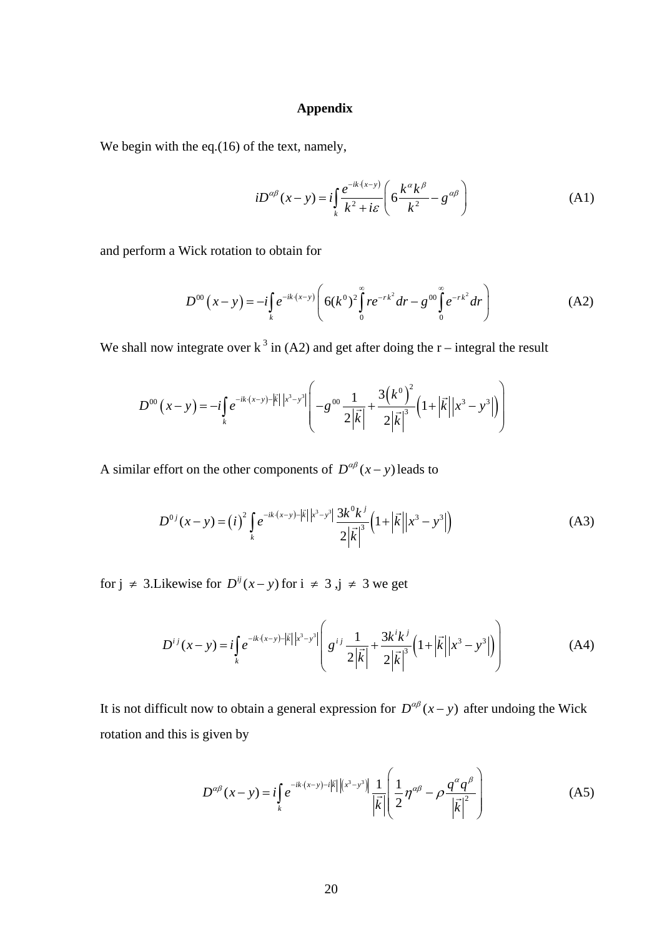# **Appendix**

We begin with the eq.(16) of the text, namely,

$$
iD^{\alpha\beta}(x-y) = i\int_{k} \frac{e^{-ik(x-y)}}{k^2 + i\varepsilon} \left(6\frac{k^{\alpha}k^{\beta}}{k^2} - g^{\alpha\beta}\right)
$$
 (A1)

and perform a Wick rotation to obtain for

$$
D^{00}(x-y) = -i \int_{k} e^{-ik \cdot (x-y)} \left( 6(k^{0})^{2} \int_{0}^{\infty} r e^{-rk^{2}} dr - g^{00} \int_{0}^{\infty} e^{-rk^{2}} dr \right)
$$
 (A2)

We shall now integrate over  $k^3$  in (A2) and get after doing the r – integral the result

$$
D^{00}(x-y) = -i\int_{k} e^{-ik \cdot (x-y) - |\vec{k}| |x^{3}-y^{3}|} \left( -g^{00} \frac{1}{2|\vec{k}|} + \frac{3(k^{0})^{2}}{2|\vec{k}|^{3}} \left( 1 + |\vec{k}| |x^{3}-y^{3}| \right) \right)
$$

A similar effort on the other components of  $D^{\alpha\beta}(x - y)$  leads to

$$
D^{0j}(x-y) = (i)^2 \int_{k} e^{-ik \cdot (x-y) - |\vec{k}| |x^3 - y^3|} \frac{3k^0 k^j}{2|\vec{k}|^3} \left(1 + |\vec{k}| |x^3 - y^3|\right)
$$
 (A3)

for  $j \neq 3$ . Likewise for  $D^{ij}(x - y)$  for  $i \neq 3$ ,  $j \neq 3$  we get

$$
D^{ij}(x-y) = i \int_{k} e^{-ik \cdot (x-y) - |\vec{k}| |x^3 - y^3} \left( g^{ij} \frac{1}{2|\vec{k}|} + \frac{3k^i k^j}{2|\vec{k}|^3} \left( 1 + |\vec{k}| |x^3 - y^3| \right) \right) \tag{A4}
$$

It is not difficult now to obtain a general expression for  $D^{\alpha\beta}(x - y)$  after undoing the Wick rotation and this is given by

$$
D^{\alpha\beta}(x-y) = i \int_{k} e^{-ik \cdot (x-y) - i|\vec{k}| |(x^{3}-y^{3})|} \frac{1}{|\vec{k}|} \left( \frac{1}{2} \eta^{\alpha\beta} - \rho \frac{q^{\alpha} q^{\beta}}{|\vec{k}|^{2}} \right)
$$
(A5)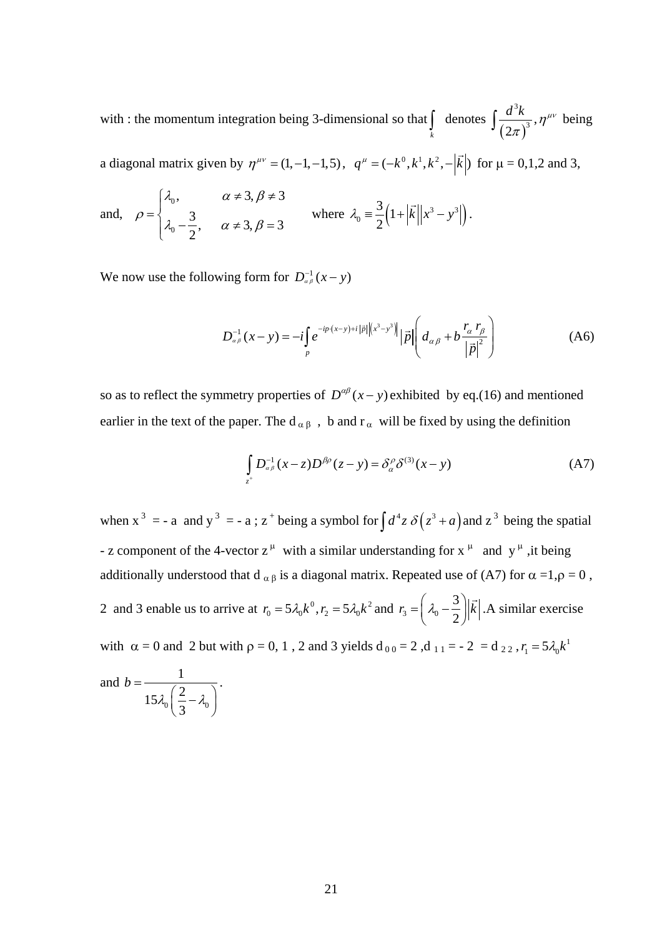with : the momentum integration being 3-dimensional so that  $\int_{k}$  denotes  $\int \frac{a \kappa}{(2\pi)}$ 3  $(2\pi)^3$  $\int \frac{d^3k}{(2\pi)^3}$ ,  $\eta^{\mu\nu}$  being

a diagonal matrix given by  $\eta^{\mu\nu} = (1, -1, -1, 5)$ ,  $q^{\mu} = (-k^0, k^1, k^2, -\frac{\vert \vec{k} \vert}{\vert \vec{k} \vert})$  for  $\mu = 0, 1, 2$  and 3,

and, 
$$
\rho = \begin{cases} \lambda_0, & \alpha \neq 3, \beta \neq 3 \\ \lambda_0 - \frac{3}{2}, & \alpha \neq 3, \beta = 3 \end{cases}
$$
 where  $\lambda_0 = \frac{3}{2} (1 + |\vec{k}| |x^3 - y^3|).$ 

We now use the following form for  $D_{\alpha\beta}^{-1}(x-y)$ 

$$
D_{\alpha\beta}^{-1}(x-y) = -i \int_{p} e^{-ip \cdot (x-y) + i |\vec{p}| \left| \left( x^{3}-y^{3} \right) \right|} |\vec{p}| \left( d_{\alpha\beta} + b \frac{r_{\alpha} r_{\beta}}{|\vec{p}|^{2}} \right)
$$
(A6)

so as to reflect the symmetry properties of  $D^{\alpha\beta}(x - y)$  exhibited by eq.(16) and mentioned earlier in the text of the paper. The  $d_{\alpha\beta}$ , b and  $r_{\alpha}$  will be fixed by using the definition

$$
\int_{z^+} D_{\alpha\beta}^{-1} (x - z) D^{\beta\rho} (z - y) = \delta_{\alpha}^{\rho} \delta^{(3)} (x - y)
$$
 (A7)

when  $x^3 = -a$  and  $y^3 = -a$ ;  $z^+$  being a symbol for  $\int d^4z \delta(z^3 + a)$  and  $z^3$  being the spatial - z component of the 4-vector  $z^{\mu}$  with a similar understanding for  $x^{\mu}$  and  $y^{\mu}$ , it being additionally understood that d  $\alpha \beta$  is a diagonal matrix. Repeated use of (A7) for  $\alpha =1, \rho = 0$ , 2 and 3 enable us to arrive at  $r_0 = 5\lambda_0 k^0$ ,  $r_2 = 5\lambda_0 k^2$  and  $r_3 = \left(\lambda_0 - \frac{3}{2}\right)$  $r_3 = \left(\lambda_0 - \frac{3}{2}\right) \mid \vec{k}$  $k$  . A similar exercise with  $\alpha = 0$  and 2 but with  $\rho = 0, 1$ , 2 and 3 yields  $d_{00} = 2$ ,  $d_{11} = -2 = d_{22}$ ,  $r_1 = 5\lambda_0 k^1$ 1

and 
$$
b = \frac{1}{15\lambda_0 \left(\frac{2}{3} - \lambda_0\right)}
$$
.